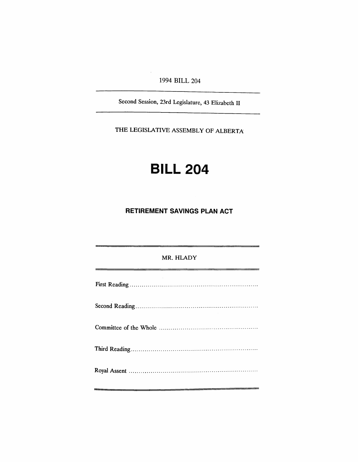1994 BILL 204

Second Session, 23rd Legislature, 43 Elizabeth II

THE LEGISLATIVE ASSEMBLY OF ALBERTA

## **BILL 204**

**RETIREMENT SAVINGS PLAN ACT**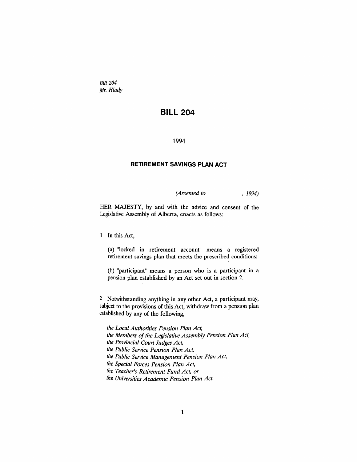*Bill 204* Mr. *Hlady*

## **BILL 204**

## 1994

## **RETIREMENT SAVINGS PLAN ACT**

*(Assented to* , 1994)

HER MAJESTY, by and with the advice and consent of the Legislative Assembly of Alberta, enacts as follows:

1 In this Act,

(a) "locked in retirement account" means a registered retirement savings plan that meets the prescribed conditions;

(b) "participant" means a person who is a participant in a pension plan established by an Act set out in section 2.

2 Notwithstanding anything in any other Act, a participant may, subject to the provisions of this Act, withdraw from a pension plan established by any of the following,

*the Local Authorities Pension Plan Act, the Members of the Legislative Assembly Pension Plan Act, the Provincial Courl Judges Act, the Public Service Pension Plan Act, the Public Service Management Pension Plan Act, the Special Forces Pension Plan Act, the Teacher's Retirement Fund Act, or the Universities Academic Pension Plan Act.*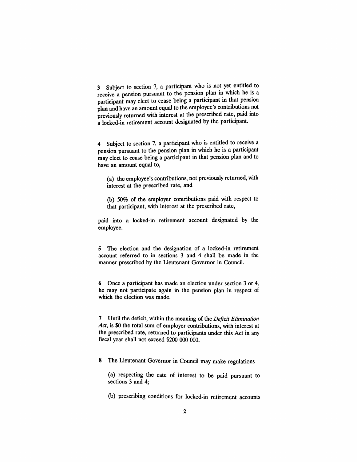3 Subject to section 7, a participant who is not yet entitled to receive a pension pursuant to the pension plan in which he is a participant may elect to cease being a participant in that pension plan and have an amount equal to the employee's contributions not previously returned with interest at the prescribed rate, paid into a locked-in retirement account designated by the participant.

4 Subject to section 7, a participant who is entitled to receive a pension pursuant to the pension plan in which he is a participant may elect to cease being a participant in that pension plan and to have an amount equal to,

(a) the employee's contributions, not previously returned, with interest at the prescribed rate, and

(b) 50% of the employer contributions paid with respect to that participant, with interest at the prescribed rate,

paid into a locked-in retirement account designated by the employee.

5 The election and the designation of a locked-in retirement account referred to in sections 3 and 4 shall be made in the manner prescribed by the Lieutenant Governor in Council.

6 Once a participant has made an election under section 3 or 4, he may not participate again in the pension plan in respect of which the election was made.

7 Until the deficit, within the meaning of the *Deficit Elimination Act,* is \$0 the total sum of employer contributions, with interest at the prescribed rate, returned to participants under this Act in any fiscal year shall not exceed \$200 000 000.

8 The Lieutenant Governor in Council may make regulations

(a) respecting the rate of interest to be paid pursuant to sections 3 and 4;

(b) prescribing conditions for locked-in retirement accounts